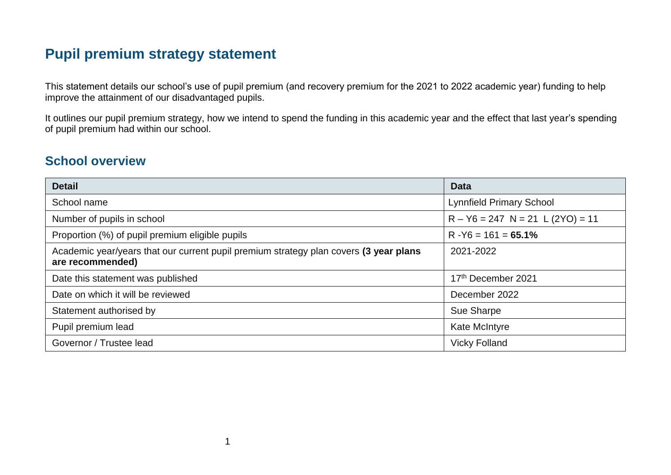# **Pupil premium strategy statement**

This statement details our school's use of pupil premium (and recovery premium for the 2021 to 2022 academic year) funding to help improve the attainment of our disadvantaged pupils.

It outlines our pupil premium strategy, how we intend to spend the funding in this academic year and the effect that last year's spending of pupil premium had within our school.

#### **School overview**

| <b>Detail</b>                                                                                             | <b>Data</b>                        |
|-----------------------------------------------------------------------------------------------------------|------------------------------------|
| School name                                                                                               | <b>Lynnfield Primary School</b>    |
| Number of pupils in school                                                                                | $R - Y6 = 247$ N = 21 L (2YO) = 11 |
| Proportion (%) of pupil premium eligible pupils                                                           | $R - Y6 = 161 = 65.1%$             |
| Academic year/years that our current pupil premium strategy plan covers (3 year plans<br>are recommended) | 2021-2022                          |
| Date this statement was published                                                                         | 17th December 2021                 |
| Date on which it will be reviewed                                                                         | December 2022                      |
| Statement authorised by                                                                                   | Sue Sharpe                         |
| Pupil premium lead                                                                                        | <b>Kate McIntyre</b>               |
| Governor / Trustee lead                                                                                   | <b>Vicky Folland</b>               |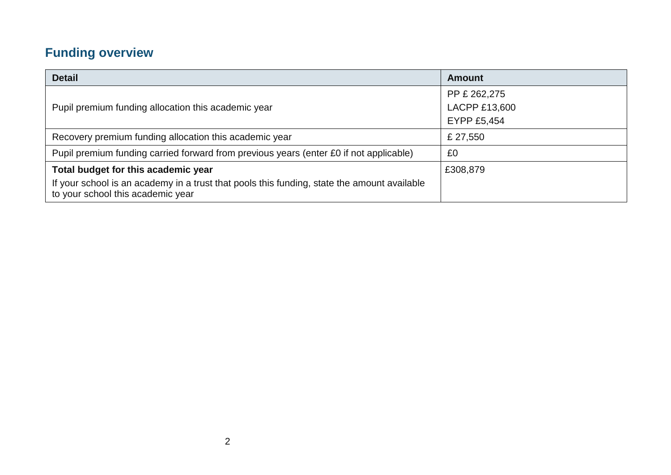# **Funding overview**

| <b>Detail</b>                                                                                                                    | <b>Amount</b>      |
|----------------------------------------------------------------------------------------------------------------------------------|--------------------|
|                                                                                                                                  | PP £ 262,275       |
| Pupil premium funding allocation this academic year                                                                              | LACPP £13,600      |
|                                                                                                                                  | <b>EYPP £5,454</b> |
| Recovery premium funding allocation this academic year                                                                           | £ 27,550           |
| Pupil premium funding carried forward from previous years (enter £0 if not applicable)                                           | £0                 |
| Total budget for this academic year                                                                                              | £308,879           |
| If your school is an academy in a trust that pools this funding, state the amount available<br>to your school this academic year |                    |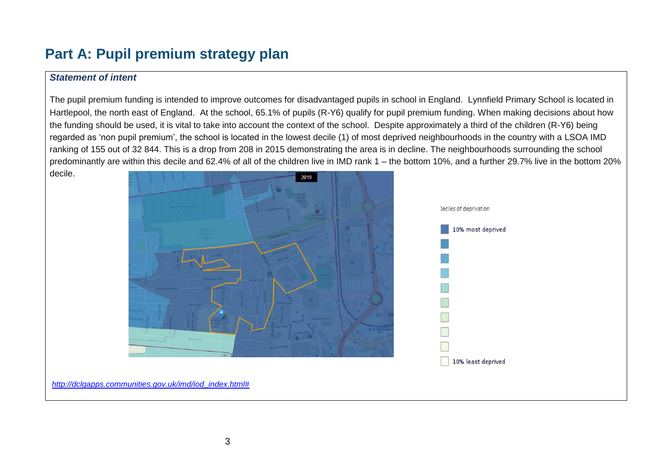# **Part A: Pupil premium strategy plan**

#### *Statement of intent*

The pupil premium funding is intended to improve outcomes for disadvantaged pupils in school in England. Lynnfield Primary School is located in Hartlepool, the north east of England. At the school, 65.1% of pupils (R-Y6) qualify for pupil premium funding. When making decisions about how the funding should be used, it is vital to take into account the context of the school. Despite approximately a third of the children (R-Y6) being regarded as 'non pupil premium', the school is located in the lowest decile (1) of most deprived neighbourhoods in the country with a LSOA IMD ranking of 155 out of 32 844. This is a drop from 208 in 2015 demonstrating the area is in decline. The neighbourhoods surrounding the school predominantly are within this decile and 62.4% of all of the children live in IMD rank 1 – the bottom 10%, and a further 29.7% live in the bottom 20% decile.

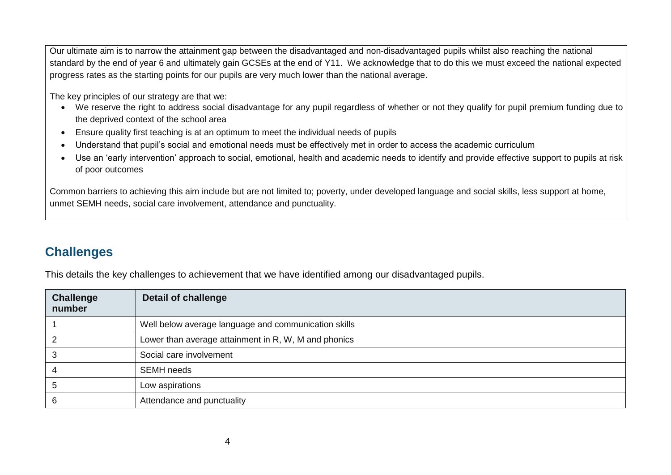Our ultimate aim is to narrow the attainment gap between the disadvantaged and non-disadvantaged pupils whilst also reaching the national standard by the end of year 6 and ultimately gain GCSEs at the end of Y11. We acknowledge that to do this we must exceed the national expected progress rates as the starting points for our pupils are very much lower than the national average.

The key principles of our strategy are that we:

- We reserve the right to address social disadvantage for any pupil regardless of whether or not they qualify for pupil premium funding due to the deprived context of the school area
- Ensure quality first teaching is at an optimum to meet the individual needs of pupils
- Understand that pupil's social and emotional needs must be effectively met in order to access the academic curriculum
- Use an 'early intervention' approach to social, emotional, health and academic needs to identify and provide effective support to pupils at risk of poor outcomes

Common barriers to achieving this aim include but are not limited to; poverty, under developed language and social skills, less support at home, unmet SEMH needs, social care involvement, attendance and punctuality.

### **Challenges**

This details the key challenges to achievement that we have identified among our disadvantaged pupils.

| <b>Challenge</b><br>number | <b>Detail of challenge</b>                           |
|----------------------------|------------------------------------------------------|
|                            | Well below average language and communication skills |
|                            | Lower than average attainment in R, W, M and phonics |
|                            | Social care involvement                              |
|                            | <b>SEMH</b> needs                                    |
|                            | Low aspirations                                      |
|                            | Attendance and punctuality                           |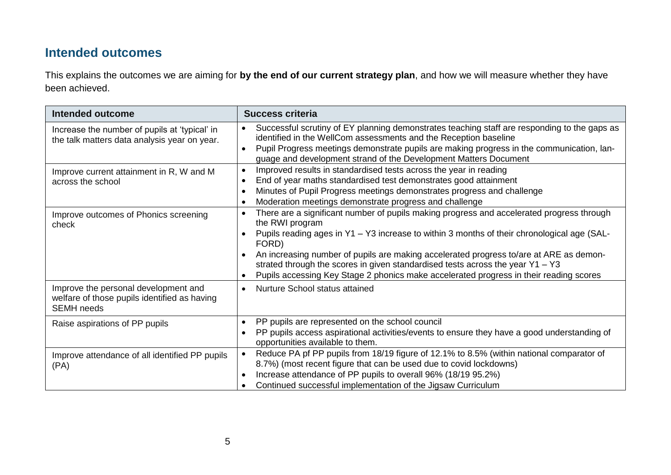## **Intended outcomes**

This explains the outcomes we are aiming for **by the end of our current strategy plan**, and how we will measure whether they have been achieved.

| <b>Intended outcome</b>                                                                                   | <b>Success criteria</b>                                                                                                                                                                                                                                                                                                                                                                                                                                                                                                                          |
|-----------------------------------------------------------------------------------------------------------|--------------------------------------------------------------------------------------------------------------------------------------------------------------------------------------------------------------------------------------------------------------------------------------------------------------------------------------------------------------------------------------------------------------------------------------------------------------------------------------------------------------------------------------------------|
| Increase the number of pupils at 'typical' in<br>the talk matters data analysis year on year.             | Successful scrutiny of EY planning demonstrates teaching staff are responding to the gaps as<br>$\bullet$<br>identified in the WellCom assessments and the Reception baseline<br>Pupil Progress meetings demonstrate pupils are making progress in the communication, lan-<br>$\bullet$<br>guage and development strand of the Development Matters Document                                                                                                                                                                                      |
| Improve current attainment in R, W and M<br>across the school                                             | Improved results in standardised tests across the year in reading<br>$\bullet$<br>End of year maths standardised test demonstrates good attainment<br>$\bullet$<br>Minutes of Pupil Progress meetings demonstrates progress and challenge<br>$\bullet$<br>Moderation meetings demonstrate progress and challenge<br>$\bullet$                                                                                                                                                                                                                    |
| Improve outcomes of Phonics screening<br>check                                                            | There are a significant number of pupils making progress and accelerated progress through<br>$\bullet$<br>the RWI program<br>Pupils reading ages in Y1 - Y3 increase to within 3 months of their chronological age (SAL-<br>$\bullet$<br>FORD)<br>An increasing number of pupils are making accelerated progress to/are at ARE as demon-<br>$\bullet$<br>strated through the scores in given standardised tests across the year $Y1 - Y3$<br>Pupils accessing Key Stage 2 phonics make accelerated progress in their reading scores<br>$\bullet$ |
| Improve the personal development and<br>welfare of those pupils identified as having<br><b>SEMH</b> needs | Nurture School status attained<br>$\bullet$                                                                                                                                                                                                                                                                                                                                                                                                                                                                                                      |
| Raise aspirations of PP pupils                                                                            | PP pupils are represented on the school council<br>$\bullet$<br>PP pupils access aspirational activities/events to ensure they have a good understanding of<br>$\bullet$<br>opportunities available to them.                                                                                                                                                                                                                                                                                                                                     |
| Improve attendance of all identified PP pupils<br>(PA)                                                    | Reduce PA pf PP pupils from 18/19 figure of 12.1% to 8.5% (within national comparator of<br>8.7%) (most recent figure that can be used due to covid lockdowns)<br>Increase attendance of PP pupils to overall 96% (18/19 95.2%)<br>$\bullet$<br>Continued successful implementation of the Jigsaw Curriculum<br>$\bullet$                                                                                                                                                                                                                        |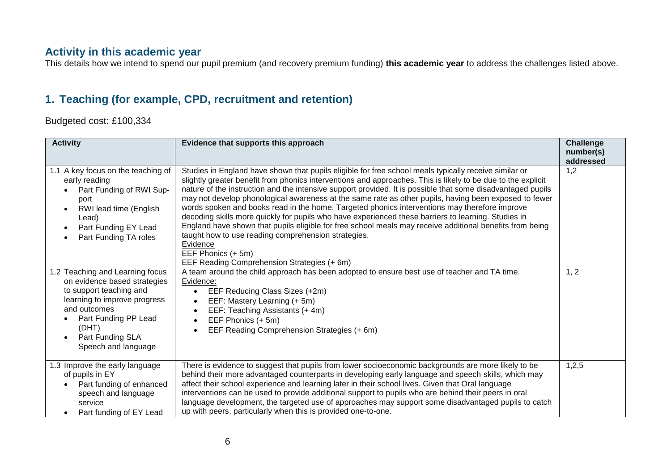#### **Activity in this academic year**

This details how we intend to spend our pupil premium (and recovery premium funding) **this academic year** to address the challenges listed above.

#### **1. Teaching (for example, CPD, recruitment and retention)**

Budgeted cost: £100,334

| <b>Activity</b>                                                                                                                                                                                                        | Evidence that supports this approach                                                                                                                                                                                                                                                                                                                                                                                                                                                                                                                                                                                                                                                                                                                                                                                                                                                                     | <b>Challenge</b><br>number(s)<br>addressed |
|------------------------------------------------------------------------------------------------------------------------------------------------------------------------------------------------------------------------|----------------------------------------------------------------------------------------------------------------------------------------------------------------------------------------------------------------------------------------------------------------------------------------------------------------------------------------------------------------------------------------------------------------------------------------------------------------------------------------------------------------------------------------------------------------------------------------------------------------------------------------------------------------------------------------------------------------------------------------------------------------------------------------------------------------------------------------------------------------------------------------------------------|--------------------------------------------|
| 1.1 A key focus on the teaching of<br>early reading<br>Part Funding of RWI Sup-<br>port<br>RWI lead time (English<br>$\bullet$<br>Lead)<br>Part Funding EY Lead<br>$\bullet$<br>Part Funding TA roles                  | Studies in England have shown that pupils eligible for free school meals typically receive similar or<br>slightly greater benefit from phonics interventions and approaches. This is likely to be due to the explicit<br>nature of the instruction and the intensive support provided. It is possible that some disadvantaged pupils<br>may not develop phonological awareness at the same rate as other pupils, having been exposed to fewer<br>words spoken and books read in the home. Targeted phonics interventions may therefore improve<br>decoding skills more quickly for pupils who have experienced these barriers to learning. Studies in<br>England have shown that pupils eligible for free school meals may receive additional benefits from being<br>taught how to use reading comprehension strategies.<br>Evidence<br>EEF Phonics (+ 5m)<br>EEF Reading Comprehension Strategies (+6m) | 1,2                                        |
| 1.2 Teaching and Learning focus<br>on evidence based strategies<br>to support teaching and<br>learning to improve progress<br>and outcomes<br>Part Funding PP Lead<br>(DHT)<br>Part Funding SLA<br>Speech and language | A team around the child approach has been adopted to ensure best use of teacher and TA time.<br>Evidence:<br>EEF Reducing Class Sizes (+2m)<br>$\bullet$<br>EEF: Mastery Learning (+ 5m)<br>$\bullet$<br>EEF: Teaching Assistants (+4m)<br>$\bullet$<br>EEF Phonics (+ 5m)<br>EEF Reading Comprehension Strategies (+6m)<br>$\bullet$                                                                                                                                                                                                                                                                                                                                                                                                                                                                                                                                                                    | 1, 2                                       |
| 1.3 Improve the early language<br>of pupils in EY<br>Part funding of enhanced<br>speech and language<br>service<br>Part funding of EY Lead                                                                             | There is evidence to suggest that pupils from lower socioeconomic backgrounds are more likely to be<br>behind their more advantaged counterparts in developing early language and speech skills, which may<br>affect their school experience and learning later in their school lives. Given that Oral language<br>interventions can be used to provide additional support to pupils who are behind their peers in oral<br>language development, the targeted use of approaches may support some disadvantaged pupils to catch<br>up with peers, particularly when this is provided one-to-one.                                                                                                                                                                                                                                                                                                          | 1,2,5                                      |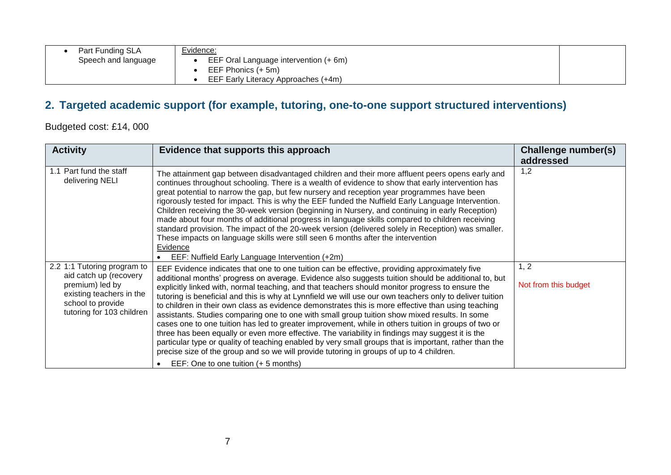| Part Funding SLA<br>Speech and language | Evidence:<br>EEF Oral Language intervention (+ 6m)<br>EEF Phonics (+ 5m)<br>EEF Early Literacy Approaches (+4m) |
|-----------------------------------------|-----------------------------------------------------------------------------------------------------------------|
|                                         |                                                                                                                 |

## **2. Targeted academic support (for example, tutoring, one-to-one support structured interventions)**

Budgeted cost: £14, 000

| <b>Activity</b>                                                                                                                                        | Evidence that supports this approach                                                                                                                                                                                                                                                                                                                                                                                                                                                                                                                                                                                                                                                                                                                                                                                                                                                                                                                                                                                                                                                  | Challenge number(s)<br>addressed |
|--------------------------------------------------------------------------------------------------------------------------------------------------------|---------------------------------------------------------------------------------------------------------------------------------------------------------------------------------------------------------------------------------------------------------------------------------------------------------------------------------------------------------------------------------------------------------------------------------------------------------------------------------------------------------------------------------------------------------------------------------------------------------------------------------------------------------------------------------------------------------------------------------------------------------------------------------------------------------------------------------------------------------------------------------------------------------------------------------------------------------------------------------------------------------------------------------------------------------------------------------------|----------------------------------|
| 1.1 Part fund the staff<br>delivering NELI                                                                                                             | The attainment gap between disadvantaged children and their more affluent peers opens early and<br>continues throughout schooling. There is a wealth of evidence to show that early intervention has<br>great potential to narrow the gap, but few nursery and reception year programmes have been<br>rigorously tested for impact. This is why the EEF funded the Nuffield Early Language Intervention.<br>Children receiving the 30-week version (beginning in Nursery, and continuing in early Reception)<br>made about four months of additional progress in language skills compared to children receiving<br>standard provision. The impact of the 20-week version (delivered solely in Reception) was smaller.<br>These impacts on language skills were still seen 6 months after the intervention<br>Evidence<br>EEF: Nuffield Early Language Intervention (+2m)                                                                                                                                                                                                              | 1,2                              |
| 2.2 1:1 Tutoring program to<br>aid catch up (recovery<br>premium) led by<br>existing teachers in the<br>school to provide<br>tutoring for 103 children | EEF Evidence indicates that one to one tuition can be effective, providing approximately five<br>additional months' progress on average. Evidence also suggests tuition should be additional to, but<br>explicitly linked with, normal teaching, and that teachers should monitor progress to ensure the<br>tutoring is beneficial and this is why at Lynnfield we will use our own teachers only to deliver tuition<br>to children in their own class as evidence demonstrates this is more effective than using teaching<br>assistants. Studies comparing one to one with small group tuition show mixed results. In some<br>cases one to one tuition has led to greater improvement, while in others tuition in groups of two or<br>three has been equally or even more effective. The variability in findings may suggest it is the<br>particular type or quality of teaching enabled by very small groups that is important, rather than the<br>precise size of the group and so we will provide tutoring in groups of up to 4 children.<br>EEF: One to one tuition (+ 5 months) | 1, 2<br>Not from this budget     |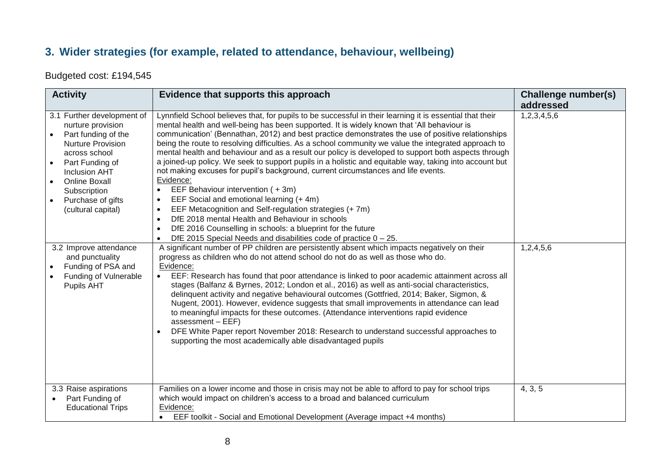#### **3. Wider strategies (for example, related to attendance, behaviour, wellbeing)**

Budgeted cost: £194,545

| <b>Activity</b>                                                                                                                                                                                                                                                                                                                                     | Evidence that supports this approach                                                                                                                                                                                                                                                                                                                                                                                                                                                                                                                                                                                                                                                                                                                                                                                                                                                                                                                                                                                                                                                                                                                                                                                                                                                                                                                                                                                                                                                                                                          | <b>Challenge number(s)</b><br>addressed |
|-----------------------------------------------------------------------------------------------------------------------------------------------------------------------------------------------------------------------------------------------------------------------------------------------------------------------------------------------------|-----------------------------------------------------------------------------------------------------------------------------------------------------------------------------------------------------------------------------------------------------------------------------------------------------------------------------------------------------------------------------------------------------------------------------------------------------------------------------------------------------------------------------------------------------------------------------------------------------------------------------------------------------------------------------------------------------------------------------------------------------------------------------------------------------------------------------------------------------------------------------------------------------------------------------------------------------------------------------------------------------------------------------------------------------------------------------------------------------------------------------------------------------------------------------------------------------------------------------------------------------------------------------------------------------------------------------------------------------------------------------------------------------------------------------------------------------------------------------------------------------------------------------------------------|-----------------------------------------|
| 3.1 Further development of<br>nurture provision<br>Part funding of the<br>Nurture Provision<br>across school<br>Part Funding of<br><b>Inclusion AHT</b><br><b>Online Boxall</b><br>Subscription<br>Purchase of gifts<br>$\bullet$<br>(cultural capital)<br>3.2 Improve attendance<br>and punctuality<br>Funding of PSA and<br>Funding of Vulnerable | Lynnfield School believes that, for pupils to be successful in their learning it is essential that their<br>mental health and well-being has been supported. It is widely known that 'All behaviour is<br>communication' (Bennathan, 2012) and best practice demonstrates the use of positive relationships<br>being the route to resolving difficulties. As a school community we value the integrated approach to<br>mental health and behaviour and as a result our policy is developed to support both aspects through<br>a joined-up policy. We seek to support pupils in a holistic and equitable way, taking into account but<br>not making excuses for pupil's background, current circumstances and life events.<br>Evidence:<br>EEF Behaviour intervention (+3m)<br>EEF Social and emotional learning (+ 4m)<br>$\bullet$<br>EEF Metacognition and Self-regulation strategies (+7m)<br>$\bullet$<br>DfE 2018 mental Health and Behaviour in schools<br>$\bullet$<br>DfE 2016 Counselling in schools: a blueprint for the future<br>$\bullet$<br>DfE 2015 Special Needs and disabilities code of practice $0 - 25$ .<br>$\bullet$<br>A significant number of PP children are persistently absent which impacts negatively on their<br>progress as children who do not attend school do not do as well as those who do.<br>Evidence:<br>EEF: Research has found that poor attendance is linked to poor academic attainment across all<br>stages (Balfanz & Byrnes, 2012; London et al., 2016) as well as anti-social characteristics, | 1,2,3,4,5,6<br>1,2,4,5,6                |
| Pupils AHT<br>3.3 Raise aspirations                                                                                                                                                                                                                                                                                                                 | delinquent activity and negative behavioural outcomes (Gottfried, 2014; Baker, Sigmon, &<br>Nugent, 2001). However, evidence suggests that small improvements in attendance can lead<br>to meaningful impacts for these outcomes. (Attendance interventions rapid evidence<br>$assessment - EEF)$<br>DFE White Paper report November 2018: Research to understand successful approaches to<br>$\bullet$<br>supporting the most academically able disadvantaged pupils<br>Families on a lower income and those in crisis may not be able to afford to pay for school trips<br>which would impact on children's access to a broad and balanced curriculum                                                                                                                                                                                                                                                                                                                                                                                                                                                                                                                                                                                                                                                                                                                                                                                                                                                                                       | 4, 3, 5                                 |
| Part Funding of<br><b>Educational Trips</b>                                                                                                                                                                                                                                                                                                         | Evidence:<br>EEF toolkit - Social and Emotional Development (Average impact +4 months)<br>$\bullet$                                                                                                                                                                                                                                                                                                                                                                                                                                                                                                                                                                                                                                                                                                                                                                                                                                                                                                                                                                                                                                                                                                                                                                                                                                                                                                                                                                                                                                           |                                         |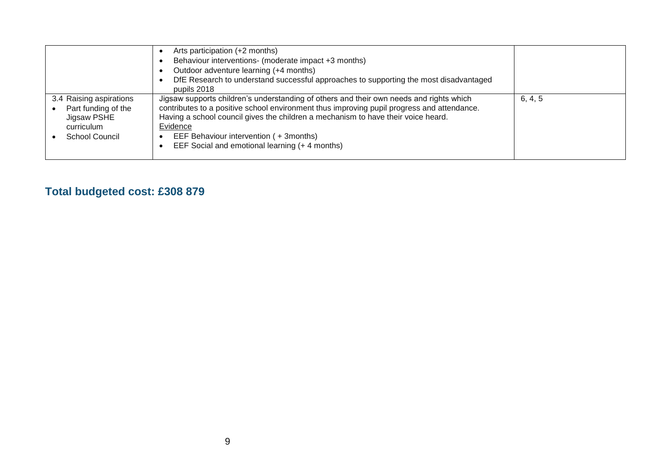|                                                                                                      | Arts participation (+2 months)<br>Behaviour interventions- (moderate impact +3 months)<br>Outdoor adventure learning (+4 months)<br>DfE Research to understand successful approaches to supporting the most disadvantaged<br>pupils 2018                                                                                                                                         |         |
|------------------------------------------------------------------------------------------------------|----------------------------------------------------------------------------------------------------------------------------------------------------------------------------------------------------------------------------------------------------------------------------------------------------------------------------------------------------------------------------------|---------|
| 3.4 Raising aspirations<br>Part funding of the<br>Jigsaw PSHE<br>curriculum<br><b>School Council</b> | Jigsaw supports children's understanding of others and their own needs and rights which<br>contributes to a positive school environment thus improving pupil progress and attendance.<br>Having a school council gives the children a mechanism to have their voice heard.<br>Evidence<br>EEF Behaviour intervention (+3months)<br>EEF Social and emotional learning (+4 months) | 6, 4, 5 |

## **Total budgeted cost: £308 879**